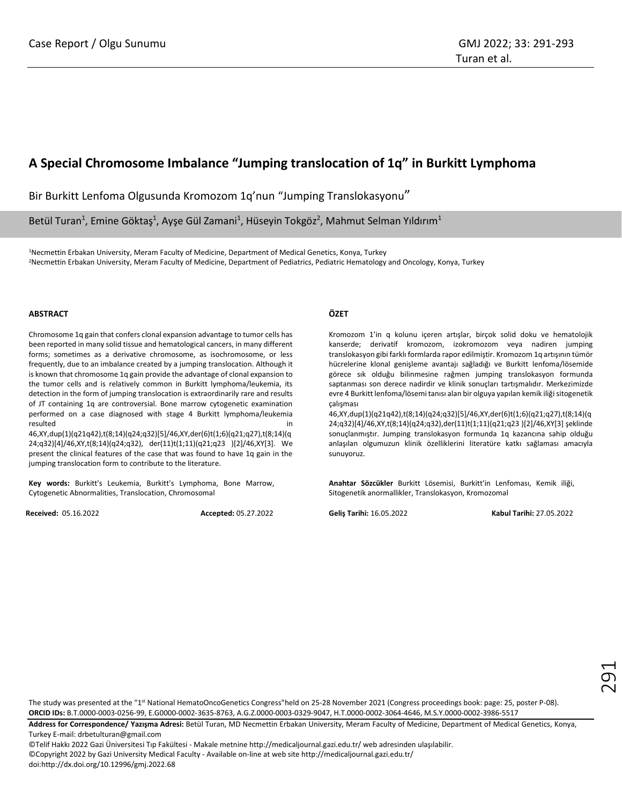# **A Special Chromosome Imbalance "Jumping translocation of 1q" in Burkitt Lymphoma**

Bir Burkitt Lenfoma Olgusunda Kromozom 1q'nun "Jumping Translokasyonu"

Betül Turan<sup>1</sup>, Emine Göktaş<sup>1</sup>, Ayşe Gül Zamani<sup>1</sup>, Hüseyin Tokgöz<sup>2</sup>, Mahmut Selman Yıldırım<sup>1</sup>

<sup>1</sup>Necmettin Erbakan University, Meram Faculty of Medicine, Department of Medical Genetics, Konya, Turkey <sup>2</sup>Necmettin Erbakan University, Meram Faculty of Medicine, Department of Pediatrics, Pediatric Hematology and Oncology, Konya, Turkey

#### **ABSTRACT**

Chromosome 1q gain that confers clonal expansion advantage to tumor cells has been reported in many solid tissue and hematological cancers, in many different forms; sometimes as a derivative chromosome, as isochromosome, or less frequently, due to an imbalance created by a jumping translocation. Although it is known that chromosome 1q gain provide the advantage of clonal expansion to the tumor cells and is relatively common in Burkitt lymphoma/leukemia, its detection in the form of jumping translocation is extraordinarily rare and results of JT containing 1q are controversial. Bone marrow cytogenetic examination performed on a case diagnosed with stage 4 Burkitt lymphoma/leukemia resulted in the contract of the contract of the contract of the contract of the contract of the contract of the

46,XY,dup(1)(q21q42),t(8;14)(q24;q32)[5]/46,XY,der(6)t(1;6)(q21;q27),t(8;14)(q 24;q32)[4]/46,XY,t(8;14)(q24;q32), der(11)t(1;11)(q21;q23 )[2]/46,XY[3]. We present the clinical features of the case that was found to have 1q gain in the jumping translocation form to contribute to the literature.

**Key words:** Burkitt's Leukemia, Burkitt's Lymphoma, Bone Marrow, Cytogenetic Abnormalities, Translocation, Chromosomal

**Received:** 05.16.2022 **Accepted:** 05.27.2022

# **ÖZET**

Kromozom 1'in q kolunu içeren artışlar, birçok solid doku ve hematolojik kanserde; derivatif kromozom, izokromozom veya nadiren jumping translokasyon gibi farklı formlarda rapor edilmiştir. Kromozom 1q artışının tümör hücrelerine klonal genişleme avantajı sağladığı ve Burkitt lenfoma/lösemide görece sık olduğu bilinmesine rağmen jumping translokasyon formunda saptanması son derece nadirdir ve klinik sonuçları tartışmalıdır. Merkezimizde evre 4 Burkitt lenfoma/lösemi tanısı alan bir olguya yapılan kemik iliği sitogenetik çalışması

46,XY,dup(1)(q21q42),t(8;14)(q24;q32)[5]/46,XY,der(6)t(1;6)(q21;q27),t(8;14)(q 24;q32)[4]/46,XY,t(8;14)(q24;q32),der(11)t(1;11)(q21;q23 )[2]/46,XY[3] şeklinde sonuçlanmıştır. Jumping translokasyon formunda 1q kazancına sahip olduğu anlaşılan olgumuzun klinik özelliklerini literatüre katkı sağlaması amacıyla sunuyoruz.

**Anahtar Sözcükler** Burkitt Lösemisi, Burkitt'in Lenfoması, Kemik iliği, Sitogenetik anormallikler, Translokasyon, Kromozomal

**Geliş Tarihi:** 16.05.2022 **Kabul Tarihi:** 27.05.2022

The study was presented at the "1<sup>st</sup> National HematoOncoGenetics Congress"held on 25-28 November 2021 (Congress proceedings book: page: 25, poster P-08). **ORCID IDs:** B.T.0000-0003-0256-99, E.G0000-0002-3635-8763, A.G.Z.0000-0003-0329-9047, H.T.0000-0002-3064-4646, M.S.Y.0000-0002-3986-5517

**Address for Correspondence/ Yazışma Adresi:** Betül Turan, MD Necmettin Erbakan University, Meram Faculty of Medicine, Department of Medical Genetics, Konya, Turkey E-mail: drbetulturan@gmail.com

©Telif Hakkı 2022 Gazi Üniversitesi Tıp Fakültesi - Makale metnine http://medicaljournal.gazi.edu.tr/ web adresinden ulaşılabilir. ©Copyright 2022 by Gazi University Medical Faculty - Available on-line at web site http://medicaljournal.gazi.edu.tr/ doi:http://dx.doi.org/10.12996/gmj.2022.68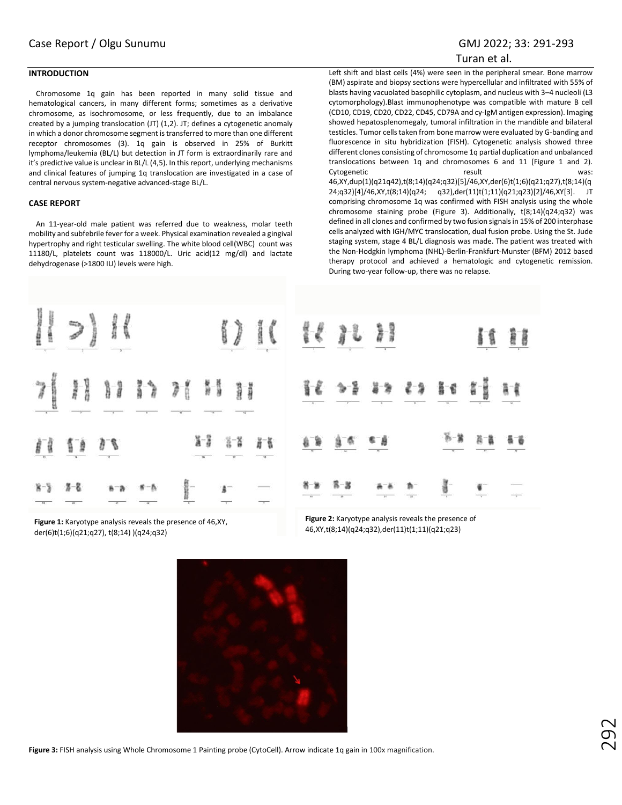## Turan et al.

# **INTRODUCTION**

Chromosome 1q gain has been reported in many solid tissue and hematological cancers, in many different forms; sometimes as a derivative chromosome, as isochromosome, or less frequently, due to an imbalance created by a jumping translocation (JT) (1,2). JT; defines a cytogenetic anomaly in which a donor chromosome segment is transferred to more than one different receptor chromosomes (3). 1q gain is observed in 25% of Burkitt lymphoma/leukemia (BL/L) but detection in JT form is extraordinarily rare and it's predictive value is unclear in BL/L (4,5). In this report, underlying mechanisms and clinical features of jumping 1q translocation are investigated in a case of central nervous system-negative advanced-stage BL/L.

#### **CASE REPORT**

An 11-year-old male patient was referred due to weakness, molar teeth mobility and subfebrile fever for a week. Physical examination revealed a gingival hypertrophy and right testicular swelling. The white blood cell(WBC) count was 11180/L, platelets count was 118000/L. Uric acid(12 mg/dl) and lactate dehydrogenase (>1800 IU) levels were high.

Left shift and blast cells (4%) were seen in the peripheral smear. Bone marrow (BM) aspirate and biopsy sections were hypercellular and infiltrated with 55% of blasts having vacuolated basophilic cytoplasm, and nucleus with 3–4 nucleoli (L3 cytomorphology).Blast immunophenotype was compatible with mature B cell (CD10, CD19, CD20, CD22, CD45, CD79A and cy-IgM antigen expression). Imaging showed hepatosplenomegaly, tumoral infiltration in the mandible and bilateral testicles. Tumor cells taken from bone marrow were evaluated by G-banding and fluorescence in situ hybridization (FISH). Cytogenetic analysis showed three different clones consisting of chromosome 1q partial duplication and unbalanced translocations between 1q and chromosomes 6 and 11 (Figure 1 and 2). Cytogenetic result result 46,XY,dup(1)(q21q42),t(8;14)(q24;q32)[5]/46,XY,der(6)t(1;6)(q21;q27),t(8;14)(q 24;q32)[4]/46,XY,t(8;14)(q24; q32),der(11)t(1;11)(q21;q23)[2]/46,XY[3]. JT comprising chromosome 1q was confirmed with FISH analysis using the whole chromosome staining probe (Figure 3). Additionally, t(8;14)(q24;q32) was defined in all clones and confirmed by two fusion signals in 15% of 200 interphase cells analyzed with IGH/MYC translocation, dual fusion probe. Using the St. Jude staging system, stage 4 BL/L diagnosis was made. The patient was treated with the Non-Hodgkin lymphoma (NHL)-Berlin-Frankfurt-Munster (BFM) 2012 based therapy protocol and achieved a hematologic and cytogenetic remission. During two-year follow-up, there was no relapse.

|          | $H \rightarrow H$ |  |                                                                                                                                                                                                                                                                                                           | 17 IL 18 37 33                                                                                                                                                                                                                                                                                                                                                                                |                                 |  | If H |
|----------|-------------------|--|-----------------------------------------------------------------------------------------------------------------------------------------------------------------------------------------------------------------------------------------------------------------------------------------------------------|-----------------------------------------------------------------------------------------------------------------------------------------------------------------------------------------------------------------------------------------------------------------------------------------------------------------------------------------------------------------------------------------------|---------------------------------|--|------|
|          |                   |  | <b>7 H H I I H H</b>                                                                                                                                                                                                                                                                                      | 化吗啡仿和醋酸                                                                                                                                                                                                                                                                                                                                                                                       |                                 |  |      |
| 11 11 18 |                   |  | $x - 3$ $x - 2$ $x - 4$                                                                                                                                                                                                                                                                                   | $\begin{array}{cccccccccccccc} \hat{g} & \hat{g} & \hat{g} & \hat{g} & \hat{g} & \hat{g} & \hat{g} & \hat{g} & \hat{g} & \hat{g} & \hat{g} & \hat{g} & \hat{g} & \hat{g} & \hat{g} & \hat{g} & \hat{g} & \hat{g} & \hat{g} & \hat{g} & \hat{g} & \hat{g} & \hat{g} & \hat{g} & \hat{g} & \hat{g} & \hat{g} & \hat{g} & \hat{g} & \hat{g} & \hat{g} & \hat{g} & \hat{g} & \hat{g} & \hat{g} &$ |                                 |  |      |
|          |                   |  | $\frac{8-3}{2}$ $\frac{3-8}{2}$ $\frac{8-8}{2}$ $\frac{8-8}{2}$ $\frac{6-8}{2}$ $\frac{6-8}{2}$ $\frac{6-8}{2}$ $\frac{6-8}{2}$ $\frac{6-8}{2}$ $\frac{6-8}{2}$ $\frac{6-8}{2}$ $\frac{6-8}{2}$ $\frac{6-8}{2}$ $\frac{6-8}{2}$ $\frac{6-8}{2}$ $\frac{6-8}{2}$ $\frac{6-8}{2}$ $\frac{6-8}{2}$ $\frac{6$ |                                                                                                                                                                                                                                                                                                                                                                                               | $8-8$ $8-8$ $4-8$ $6$ $6$ $8-8$ |  |      |

**Figure 1:** Karyotype analysis reveals the presence of 46,XY, der(6)t(1;6)(q21;q27), t(8;14) )(q24;q32)

**Figure 2:** Karyotype analysis reveals the presence of 46,XY,t(8;14)(q24;q32),der(11)t(1;11)(q21;q23)



**Figure 3:** FISH analysis using Whole Chromosome 1 Painting probe (CytoCell). Arrow indicate 1q gain in 100x magnification.